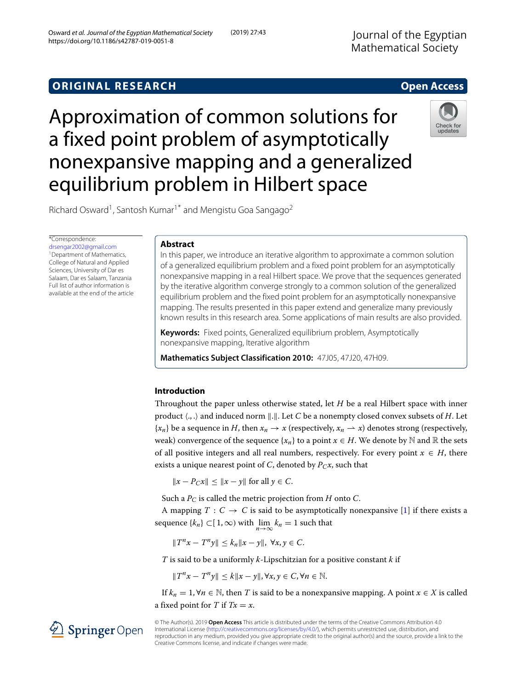# **ORIGINAL RESEARCH Open Access**

Approximation of common solutions for a fixed point problem of asymptotically nonexpansive mapping and a generalized equilibrium problem in Hilbert space



Richard Osward<sup>1</sup>, Santosh Kumar<sup>1\*</sup> and Mengistu Goa Sangago<sup>2</sup>

\*Correspondence:

[drsengar2002@gmail.com](mailto: drsengar2002@gmail.com) <sup>1</sup> Department of Mathematics, College of Natural and Applied Sciences, University of Dar es Salaam, Dar es Salaam, Tanzania Full list of author information is available at the end of the article

### **Abstract**

In this paper, we introduce an iterative algorithm to approximate a common solution of a generalized equilibrium problem and a fixed point problem for an asymptotically nonexpansive mapping in a real Hilbert space. We prove that the sequences generated by the iterative algorithm converge strongly to a common solution of the generalized equilibrium problem and the fixed point problem for an asymptotically nonexpansive mapping. The results presented in this paper extend and generalize many previously known results in this research area. Some applications of main results are also provided.

**Keywords:** Fixed points, Generalized equilibrium problem, Asymptotically nonexpansive mapping, Iterative algorithm

**Mathematics Subject Classification 2010:** 47J05, 47J20, 47H09.

## **Introduction**

Throughout the paper unless otherwise stated, let *H* be a real Hilbert space with inner product  $\langle .,.\rangle$  and induced norm  $\|.\|$ . Let  $C$  be a nonempty closed convex subsets of  $H.$  Let  $\{x_n\}$  be a sequence in *H*, then  $x_n \to x$  (respectively,  $x_n \to x$ ) denotes strong (respectively, weak) convergence of the sequence  $\{x_n\}$  to a point  $x \in H$ . We denote by  $\mathbb N$  and  $\mathbb R$  the sets of all positive integers and all real numbers, respectively. For every point  $x \in H$ , there exists a unique nearest point of *C*, denoted by  $P_Cx$ , such that

 $||x - P_Cx||$  <  $||x - y||$  for all *y* ∈ *C*.

Such a *PC* is called the metric projection from *H* onto *C*.

A mapping  $T: C \to C$  is said to be asymptotically nonexpansive [\[1\]](#page-14-0) if there exists a sequence  ${k<sub>n</sub>}$  ⊂[1, ∞) with  $\lim_{n \to \infty} k_n = 1$  such that

*H*<sup>*n*</sup>*x* − *T*<sup>*n*</sup></sup>*y* $\parallel$  < *k<sub>n</sub>* $\parallel$ *x* − *y* $\parallel$ *,* ∀*x*, *y* ∈ *C*.

*T* is said to be a uniformly *k*-Lipschitzian for a positive constant *k* if

$$
||T^n x - T^n y|| \le k||x - y||, \forall x, y \in C, \forall n \in \mathbb{N}.
$$

If  $k_n = 1, ∀n \in \mathbb{N}$ , then *T* is said to be a nonexpansive mapping. A point  $x \in X$  is called a fixed point for *T* if  $Tx = x$ .

© The Author(s). 2019 **Open Access** This article is distributed under the terms of the Creative Commons Attribution 4.0 International License [\(http://creativecommons.org/licenses/by/4.0/\)](http://creativecommons.org/licenses/by/4.0/), which permits unrestricted use, distribution, and reproduction in any medium, provided you give appropriate credit to the original author(s) and the source, provide a link to the Creative Commons license, and indicate if changes were made.

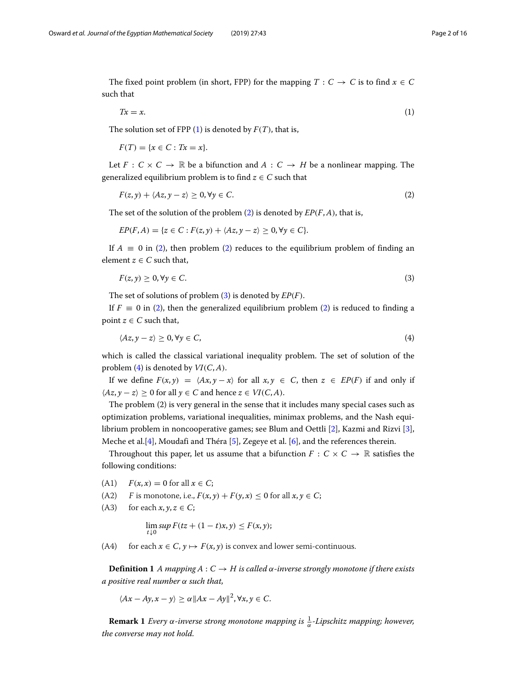The fixed point problem (in short, FPP) for the mapping  $T : C \rightarrow C$  is to find  $x \in C$ such that

<span id="page-1-0"></span>
$$
Tx = x.\tag{1}
$$

The solution set of FPP  $(1)$  is denoted by  $F(T)$ , that is,

 $F(T) = \{x \in C : Tx = x\}.$ 

Let  $F: C \times C \to \mathbb{R}$  be a bifunction and  $A: C \to H$  be a nonlinear mapping. The generalized equilibrium problem is to find  $z \in C$  such that

<span id="page-1-1"></span>
$$
F(z, y) + \langle Az, y - z \rangle \ge 0, \forall y \in C.
$$
 (2)

The set of the solution of the problem [\(2\)](#page-1-1) is denoted by *EP*(*F*,*A*), that is,

$$
EP(F,A) = \{z \in C : F(z,y) + \langle Az, y-z \rangle \ge 0, \forall y \in C\}.
$$

If  $A \equiv 0$  in [\(2\)](#page-1-1), then problem (2) reduces to the equilibrium problem of finding an element  $z \in C$  such that,

<span id="page-1-2"></span>
$$
F(z, y) \ge 0, \forall y \in C. \tag{3}
$$

The set of solutions of problem [\(3\)](#page-1-2) is denoted by *EP*(*F*).

If  $F \equiv 0$  in [\(2\)](#page-1-1), then the generalized equilibrium problem (2) is reduced to finding a point  $z \in C$  such that,

<span id="page-1-3"></span>
$$
\langle Az, y - z \rangle \ge 0, \forall y \in C,\tag{4}
$$

which is called the classical variational inequality problem. The set of solution of the problem [\(4\)](#page-1-3) is denoted by *VI*(*C*,*A*).

If we define  $F(x, y) = \langle Ax, y - x \rangle$  for all  $x, y \in C$ , then  $z \in EP(F)$  if and only if  $\langle Az, y - z \rangle \ge 0$  for all *y* ∈ *C* and hence *z* ∈ *VI*(*C*, *A*).

The problem (2) is very general in the sense that it includes many special cases such as optimization problems, variational inequalities, minimax problems, and the Nash equilibrium problem in noncooperative games; see Blum and Oettli [\[2\]](#page-14-1), Kazmi and Rizvi [\[3\]](#page-14-2), Meche et al.[\[4\]](#page-14-3), Moudafi and Théra [\[5\]](#page-14-4), Zegeye et al. [\[6\]](#page-14-5), and the references therein.

Throughout this paper, let us assume that a bifunction  $F : C \times C \rightarrow \mathbb{R}$  satisfies the following conditions:

- $F(x, x) = 0$  for all  $x \in C$ ;
- (A2) F is monotone, i.e.,  $F(x, y) + F(y, x) \le 0$  for all  $x, y \in C$ ;
- (A3) for each  $x, y, z \in C$ ;

$$
\lim_{t\downarrow 0} \sup F(tz + (1-t)x, y) \le F(x, y);
$$

(A4) for each  $x \in C$ ,  $y \mapsto F(x, y)$  is convex and lower semi-continuous.

**Definition 1** *A mapping A* :  $C \rightarrow H$  *is called*  $\alpha$ *-inverse strongly monotone if there exists a positive real number* α *such that,*

$$
\langle Ax - Ay, x - y \rangle \ge \alpha ||Ax - Ay||^2, \forall x, y \in C.
$$

**Remark 1** *Every* α-inverse strong monotone mapping is  $\frac{1}{\alpha}$ -Lipschitz mapping; however, *the converse may not hold.*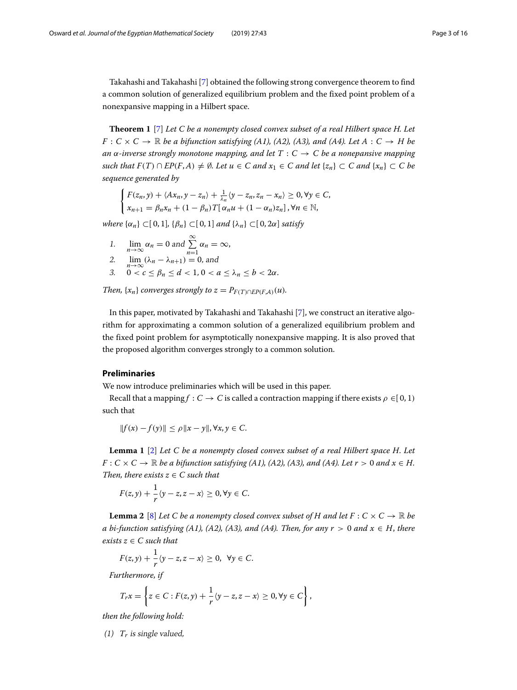Takahashi and Takahashi [\[7\]](#page-14-6) obtained the following strong convergence theorem to find a common solution of generalized equilibrium problem and the fixed point problem of a nonexpansive mapping in a Hilbert space.

**Theorem 1** [\[7\]](#page-14-6) *Let C be a nonempty closed convex subset of a real Hilbert space H. Let*  $F: C \times C \rightarrow \mathbb{R}$  *be a bifunction satisfying (A1), (A2), (A3), and (A4). Let A* :  $C \rightarrow H$  *be an*  $\alpha$ -inverse strongly monotone mapping, and let  $T : C \rightarrow C$  be a nonepansive mapping *such that*  $F(T) \cap EP(F,A) \neq \emptyset$ *. Let*  $u \in C$  *and*  $x_1 \in C$  *and* let  $\{z_n\} \subset C$  *and*  $\{x_n\} \subset C$  *be sequence generated by*

$$
\begin{cases}\nF(z_n, y) + \langle Ax_n, y - z_n \rangle + \frac{1}{\lambda_n} \langle y - z_n, z_n - x_n \rangle \ge 0, \forall y \in C, \\
x_{n+1} = \beta_n x_n + (1 - \beta_n) T[\alpha_n u + (1 - \alpha_n) z_n], \forall n \in \mathbb{N},\n\end{cases}
$$

*where*  $\{\alpha_n\} \subset [0,1], \{\beta_n\} \subset [0,1]$  *and*  $\{\lambda_n\} \subset [0,2\alpha]$  *satisfy* 

- 1.  $\lim_{n\to\infty} \alpha_n = 0$  and  $\sum_{n=1}^{\infty} \alpha_n = \infty$ ,
- 2.  $\lim_{n\to\infty} (\lambda_n \lambda_{n+1}) = 0$ , and
- 3.  $0 < c \le \beta_n \le d < 1, 0 < a \le \lambda_n \le b < 2\alpha$ .

*Then,*  $\{x_n\}$  *converges strongly to*  $z = P_{F(T) \cap E} P(F, A)$  $(u)$ *.* 

In this paper, motivated by Takahashi and Takahashi [\[7\]](#page-14-6), we construct an iterative algorithm for approximating a common solution of a generalized equilibrium problem and the fixed point problem for asymptotically nonexpansive mapping. It is also proved that the proposed algorithm converges strongly to a common solution.

### **Preliminaries**

We now introduce preliminaries which will be used in this paper.

Recall that a mapping  $f : C \to C$  is called a contraction mapping if there exists  $\rho \in [0,1)$ such that

$$
||f(x) - f(y)|| \le \rho ||x - y||, \forall x, y \in C.
$$

<span id="page-2-0"></span>**Lemma 1** [\[2\]](#page-14-1) *Let C be a nonempty closed convex subset of a real Hilbert space H. Let*  $F: C \times C \rightarrow \mathbb{R}$  *be a bifunction satisfying (A1), (A2), (A3), and (A4). Let*  $r > 0$  *and*  $x \in H$ *. Then, there exists*  $z \in C$  *such that* 

$$
F(z, y) + \frac{1}{r}\langle y - z, z - x \rangle \ge 0, \forall y \in C.
$$

<span id="page-2-1"></span>**Lemma 2** [\[8\]](#page-14-7) *Let C be a nonempty closed convex subset of H and let*  $F : C \times C \rightarrow \mathbb{R}$  *be a* bi-function satisfying (A1), (A2), (A3), and (A4). Then, for any  $r > 0$  and  $x \in H$ , there  $exists z \in C such that$ 

$$
F(z, y) + \frac{1}{r}(y - z, z - x) \ge 0, \ \forall y \in C.
$$

*Furthermore, if*

$$
T_r x = \left\{ z \in C : F(z, y) + \frac{1}{r} \langle y - z, z - x \rangle \geq 0, \forall y \in C \right\},\
$$

*then the following hold:*

(1) *Tr* is single valued,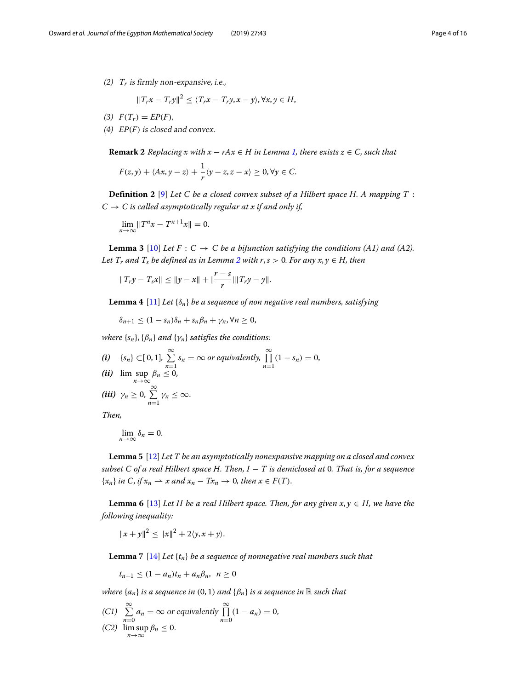$$
||T_rx - T_ry||^2 \le \langle T_rx - T_ry, x - y \rangle, \forall x, y \in H,
$$

- (3)  $F(T_r) = EP(F)$ ,
- (4) *EP*(*F*) is closed and convex.

**Remark 2** *Replacing x with*  $x - rAx \in H$  *in Lemma [1,](#page-2-0) there exists*  $z \in C$ *, such that* 

$$
F(z, y) + \langle Ax, y - z \rangle + \frac{1}{r} \langle y - z, z - x \rangle \geq 0, \forall y \in C.
$$

**Definition 2** [\[9\]](#page-15-0) *Let C be a closed convex subset of a Hilbert space H. A mapping T* :  $C \rightarrow C$  *is called asymptotically regular at x if and only if,* 

$$
\lim_{n\to\infty}||T^nx-T^{n+1}x||=0.
$$

<span id="page-3-0"></span>**Lemma 3** [\[10\]](#page-15-1) Let  $F : C \to C$  be a bifunction satisfying the conditions (A1) and (A2). *Let*  $T_r$  *and*  $T_s$  *be defined as in Lemma [2](#page-2-1) with*  $r, s > 0$ *. For any x, y*  $\in$  *H, then* 

$$
||T_r y - T_s x|| \le ||y - x|| + |\frac{r - s}{r}||T_r y - y||.
$$

<span id="page-3-1"></span>**Lemma 4** [\[11\]](#page-15-2) *Let* {δ*n*} *be a sequence of non negative real numbers, satisfying*

$$
\delta_{n+1} \leq (1 - s_n)\delta_n + s_n\beta_n + \gamma_n, \forall n \geq 0,
$$

*where*  $\{s_n\}$ ,  $\{\beta_n\}$  *and*  $\{\gamma_n\}$  *satisfies the conditions:* 

*(i)*  ${s_n}$  ⊂[ 0, 1],  $\sum_{n=1}^{\infty}$  $\sum_{n=1}^{\infty} s_n = \infty$  or equivalently,  $\prod_{n=1}^{\infty}$  $\prod_{n=1} (1 - s_n) = 0,$ *(ii)*  $\limsup_{n \to \infty} \beta_n \leq 0$ , *(iii)*  $\gamma_n \geq 0$ ,  $\sum_{n=1}^{\infty} \gamma_n \leq \infty$ .

*Then,*

$$
\lim_{n\to\infty}\delta_n=0.
$$

<span id="page-3-2"></span>**Lemma 5** [\[12\]](#page-15-3) *Let T be an asymptotically nonexpansive mapping on a closed and convex subset C of a real Hilbert space H. Then, I* − *T is demiclosed at* 0*. That is, for a sequence*  $\{x_n\}$  *in* C, *if*  $x_n \to x$  *and*  $x_n - Tx_n \to 0$ *, then*  $x \in F(T)$ *.* 

<span id="page-3-3"></span>**Lemma 6** [\[13\]](#page-15-4) *Let H be a real Hilbert space. Then, for any given*  $x, y \in H$ *, we have the following inequality:*

$$
||x+y||^2 \le ||x||^2 + 2\langle y, x+y \rangle.
$$

<span id="page-3-4"></span>**Lemma 7** [\[14\]](#page-15-5) *Let* {*tn*} *be a sequence of nonnegative real numbers such that*

$$
t_{n+1}\leq (1-a_n)t_n+a_n\beta_n, \ \ n\geq 0
$$

*where*  $\{a_n\}$  *is a sequence in* (0, 1) *and*  $\{\beta_n\}$  *is a sequence in* R *such that* 

(C1) 
$$
\sum_{n=0}^{\infty} a_n = \infty \text{ or equivalently } \prod_{n=0}^{\infty} (1 - a_n) = 0,
$$
  
(C2) 
$$
\limsup_{n \to \infty} \beta_n \le 0.
$$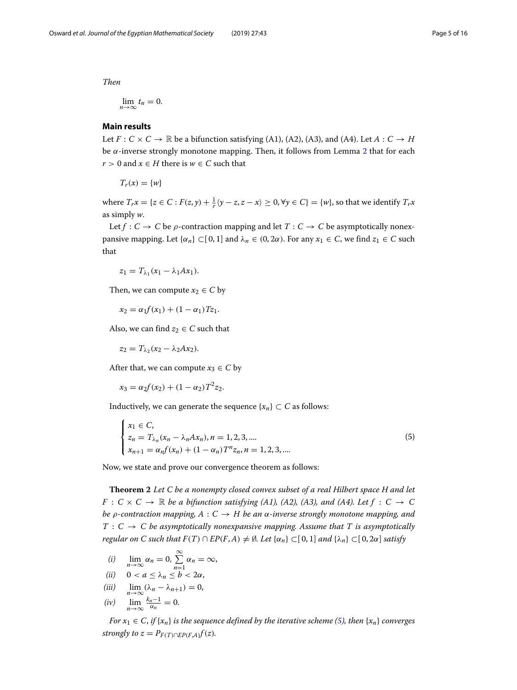*Then*

$$
\lim_{n\to\infty}t_n=0.
$$

### **Main results**

Let  $F: C \times C \rightarrow \mathbb{R}$  be a bifunction satisfying (A1), (A2), (A3), and (A4). Let  $A: C \rightarrow H$ be  $\alpha$ -inverse strongly monotone mapping. Then, it follows from Lemma [2](#page-2-1) that for each *r* > 0 and  $x$  ∈ *H* there is  $w$  ∈ *C* such that

 $T_r(x) = \{w\}$ 

where  $T_rx = \{z \in C : F(z, y) + \frac{1}{r}\langle y - z, z - x \rangle \ge 0, \forall y \in C\} = \{w\}$ , so that we identify  $T_rx$ as simply *w*.

Let  $f: C \to C$  be  $\rho$ -contraction mapping and let  $T: C \to C$  be asymptotically nonexpansive mapping. Let  $\{\alpha_n\} \subset [0, 1]$  and  $\lambda_n \in (0, 2\alpha)$ . For any  $x_1 \in C$ , we find  $z_1 \in C$  such that

 $z_1 = T_{\lambda_1}(x_1 - \lambda_1 Ax_1).$ 

Then, we can compute  $x_2 \in C$  by

$$
x_2 = \alpha_1 f(x_1) + (1 - \alpha_1)Tz_1.
$$

Also, we can find  $z_2 \in C$  such that

$$
z_2=T_{\lambda_2}(x_2-\lambda_2Ax_2).
$$

After that, we can compute  $x_3 \in C$  by

$$
x_3 = \alpha_2 f(x_2) + (1 - \alpha_2) T^2 z_2.
$$

Inductively, we can generate the sequence  $\{x_n\} \subset C$  as follows:

<span id="page-4-0"></span>
$$
\begin{cases}\n x_1 \in C, \\
 z_n = T_{\lambda_n}(x_n - \lambda_n A x_n), n = 1, 2, 3, \dots \\
 x_{n+1} = \alpha_n f(x_n) + (1 - \alpha_n) T^n z_n, n = 1, 2, 3, \dots\n\end{cases}
$$
\n(5)

Now, we state and prove our convergence theorem as follows:

<span id="page-4-1"></span>**Theorem 2** *Let C be a nonempty closed convex subset of a real Hilbert space H and let*  $F: C \times C \rightarrow \mathbb{R}$  *be a bifunction satisfying (A1), (A2), (A3), and (A4). Let*  $f: C \rightarrow C$ *be* ρ*-contraction mapping, A* : *C* → *H be an* α*-inverse strongly monotone mapping, and*  $T : C \rightarrow C$  be asymptotically nonexpansive mapping. Assume that T is asymptotically *regular on C such that*  $F(T) \cap EP(F,A) \neq \emptyset$ . Let  $\{\alpha_n\} \subset [0,1]$  *and*  $\{\lambda_n\} \subset [0,2\alpha]$  *satisfy* 

- (i)  $\lim_{n\to\infty} \alpha_n = 0, \sum_{n=1}^{\infty}$  $\sum_{n=1}^{\infty} \alpha_n = \infty$ ,
- (*ii*)  $0 < a \leq \lambda_n \leq b < 2\alpha$ ,

$$
(iii) \quad \lim_{n\to\infty} (\lambda_n - \lambda_{n+1}) = 0,
$$

$$
(iv) \quad \lim_{n\to\infty}\frac{k_n-1}{\alpha_n}=0.
$$

*For*  $x_1 \in C$ , *if*  $\{x_n\}$  *is the sequence defined by the iterative scheme [\(5\)](#page-4-0), then*  $\{x_n\}$  *converges strongly to z* =  $P_{F(T) \cap EP(F,A)} f(z)$ *.*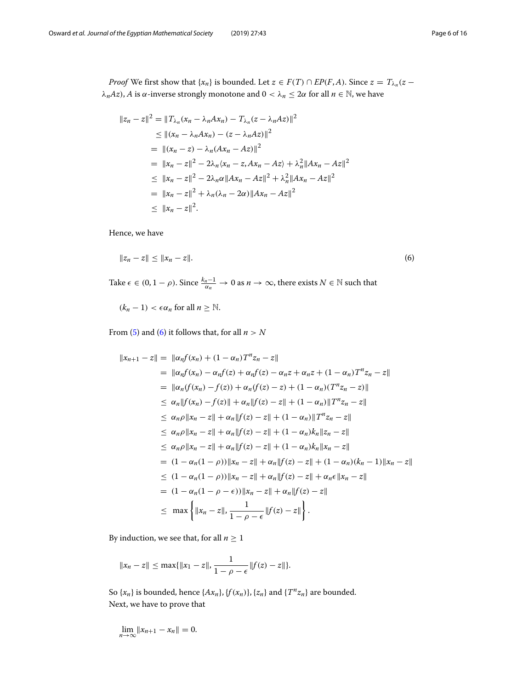*Proof* We first show that  $\{x_n\}$  is bounded. Let  $z \in F(T) \cap EP(F, A)$ . Since  $z = T_{\lambda_n}(z$  $λ<sub>n</sub>Az$ , *A* is α-inverse strongly monotone and 0 <  $λ<sub>n</sub> ≤ 2α$  for all *n* ∈ N, we have

$$
||z_n - z||^2 = ||T_{\lambda_n}(x_n - \lambda_n A x_n) - T_{\lambda_n}(z - \lambda_n A z)||^2
$$
  
\n
$$
\leq ||(x_n - \lambda_n A x_n) - (z - \lambda_n A z)||^2
$$
  
\n
$$
= ||(x_n - z) - \lambda_n (A x_n - A z)||^2
$$
  
\n
$$
= ||x_n - z||^2 - 2\lambda_n (x_n - z, A x_n - A z) + \lambda_n^2 ||A x_n - A z||^2
$$
  
\n
$$
\leq ||x_n - z||^2 - 2\lambda_n \alpha ||A x_n - A z||^2 + \lambda_n^2 ||A x_n - A z||^2
$$
  
\n
$$
= ||x_n - z||^2 + \lambda_n (\lambda_n - 2\alpha) ||A x_n - A z||^2
$$
  
\n
$$
\leq ||x_n - z||^2.
$$

Hence, we have

<span id="page-5-0"></span>
$$
||z_n - z|| \le ||x_n - z||. \tag{6}
$$

Take  $\epsilon \in (0, 1 - \rho)$ . Since  $\frac{k_n - 1}{\alpha_n} \to 0$  as  $n \to \infty$ , there exists  $N \in \mathbb{N}$  such that

 $(k_n - 1) < \epsilon \alpha_n$  for all  $n \geq \mathbb{N}$ .

From [\(5\)](#page-4-0) and [\(6\)](#page-5-0) it follows that, for all  $n > N$ 

$$
||x_{n+1} - z|| = ||\alpha_n f(x_n) + (1 - \alpha_n) T^n z_n - z||
$$
  
\n
$$
= ||\alpha_n f(x_n) - \alpha_n f(z) + \alpha_n f(z) - \alpha_n z + \alpha_n z + (1 - \alpha_n) T^n z_n - z||
$$
  
\n
$$
= ||\alpha_n (f(x_n) - f(z)) + \alpha_n (f(z) - z) + (1 - \alpha_n) (T^n z_n - z)||
$$
  
\n
$$
\leq \alpha_n ||f(x_n) - f(z)|| + \alpha_n ||f(z) - z|| + (1 - \alpha_n) ||T^n z_n - z||
$$
  
\n
$$
\leq \alpha_n \rho ||x_n - z|| + \alpha_n ||f(z) - z|| + (1 - \alpha_n) ||T^n z_n - z||
$$
  
\n
$$
\leq \alpha_n \rho ||x_n - z|| + \alpha_n ||f(z) - z|| + (1 - \alpha_n) k_n ||z_n - z||
$$
  
\n
$$
\leq \alpha_n \rho ||x_n - z|| + \alpha_n ||f(z) - z|| + (1 - \alpha_n) k_n ||x_n - z||
$$
  
\n
$$
= (1 - \alpha_n (1 - \rho)) ||x_n - z|| + \alpha_n ||f(z) - z|| + (1 - \alpha_n) (k_n - 1) ||x_n - z||
$$
  
\n
$$
\leq (1 - \alpha_n (1 - \rho)) ||x_n - z|| + \alpha_n ||f(z) - z|| + \alpha_n \epsilon ||x_n - z||
$$
  
\n
$$
= (1 - \alpha_n (1 - \rho - \epsilon)) ||x_n - z|| + \alpha_n ||f(z) - z||
$$
  
\n
$$
\leq \max \left\{ ||x_n - z||, \frac{1}{1 - \rho - \epsilon} ||f(z) - z|| \right\}.
$$

By induction, we see that, for all  $n \geq 1$ 

$$
||x_n - z|| \le \max{||x_1 - z||, \frac{1}{1 - \rho - \epsilon} ||f(z) - z||}.
$$

So  $\{x_n\}$  is bounded, hence  $\{Ax_n\}$ ,  $\{f(x_n)\}$ ,  $\{z_n\}$  and  $\{T^n z_n\}$  are bounded. Next, we have to prove that

$$
\lim_{n\to\infty}||x_{n+1}-x_n||=0.
$$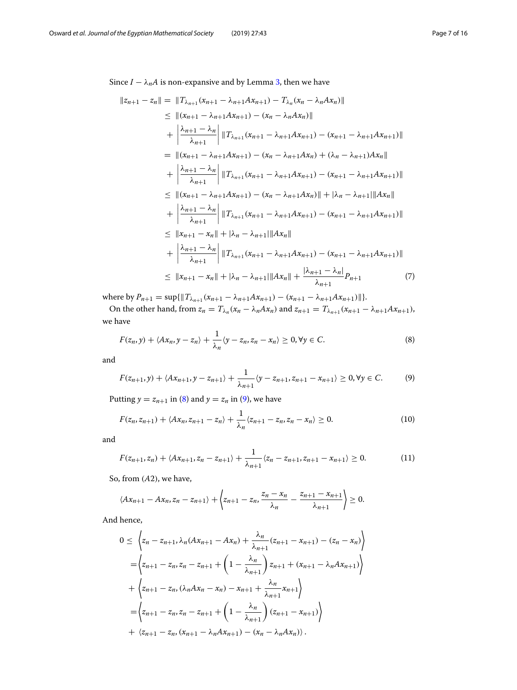Since  $I - \lambda_n A$  is non-expansive and by Lemma [3,](#page-3-0) then we have

$$
||z_{n+1} - z_n|| = ||T_{\lambda_{n+1}}(x_{n+1} - \lambda_{n+1}Ax_{n+1}) - T_{\lambda_n}(x_n - \lambda_nAx_n)||
$$
  
\n
$$
\leq ||(x_{n+1} - \lambda_{n+1}Ax_{n+1}) - (x_n - \lambda_nAx_n)||
$$
  
\n
$$
+ \left| \frac{\lambda_{n+1} - \lambda_n}{\lambda_{n+1}} \right| ||T_{\lambda_{n+1}}(x_{n+1} - \lambda_{n+1}Ax_{n+1}) - (x_{n+1} - \lambda_{n+1}Ax_{n+1})||
$$
  
\n
$$
= ||(x_{n+1} - \lambda_{n+1}Ax_{n+1}) - (x_n - \lambda_{n+1}Ax_n) + (\lambda_n - \lambda_{n+1}Ax_n||)
$$
  
\n
$$
+ \left| \frac{\lambda_{n+1} - \lambda_n}{\lambda_{n+1}} \right| ||T_{\lambda_{n+1}}(x_{n+1} - \lambda_{n+1}Ax_{n+1}) - (x_{n+1} - \lambda_{n+1}Ax_{n+1})||
$$
  
\n
$$
\leq ||(x_{n+1} - \lambda_{n+1}Ax_{n+1}) - (x_n - \lambda_{n+1}Ax_n)|| + |\lambda_n - \lambda_{n+1}||Ax_n||
$$
  
\n
$$
+ \left| \frac{\lambda_{n+1} - \lambda_n}{\lambda_{n+1}} \right| ||T_{\lambda_{n+1}}(x_{n+1} - \lambda_{n+1}Ax_{n+1}) - (x_{n+1} - \lambda_{n+1}Ax_{n+1})||
$$
  
\n
$$
\leq ||x_{n+1} - x_n|| + |\lambda_n - \lambda_{n+1}||Ax_n||
$$
  
\n
$$
+ \left| \frac{\lambda_{n+1} - \lambda_n}{\lambda_{n+1}} \right| ||T_{\lambda_{n+1}}(x_{n+1} - \lambda_{n+1}Ax_{n+1}) - (x_{n+1} - \lambda_{n+1}Ax_{n+1})||
$$
  
\n
$$
\leq ||x_{n+1} - x_n|| + |\lambda_n - \lambda_{n+1}||Ax_n|| + \frac{|\lambda_{n+1} - \lambda_n|}{\lambda_{n+1}}P_{n+1}
$$
  
\n(7)

where by  $P_{n+1} = \sup{\{\|T_{\lambda_{n+1}}(x_{n+1} - \lambda_{n+1}Ax_{n+1}) - (x_{n+1} - \lambda_{n+1}Ax_{n+1})\}\}.$ 

On the other hand, from  $z_n = T_{\lambda_n}(x_n - \lambda_n A x_n)$  and  $z_{n+1} = T_{\lambda_{n+1}}(x_{n+1} - \lambda_{n+1} A x_{n+1}),$ we have

$$
F(z_n, y) + \langle Ax_n, y - z_n \rangle + \frac{1}{\lambda_n} \langle y - z_n, z_n - x_n \rangle \ge 0, \forall y \in C.
$$
 (8)

and

$$
F(z_{n+1},y) + \langle Ax_{n+1}, y - z_{n+1} \rangle + \frac{1}{\lambda_{n+1}} \langle y - z_{n+1}, z_{n+1} - x_{n+1} \rangle \ge 0, \forall y \in C.
$$
 (9)

Putting  $y = z_{n+1}$  in [\(8\)](#page-6-0) and  $y = z_n$  in [\(9\)](#page-6-1), we have

$$
F(z_n, z_{n+1}) + \langle Ax_n, z_{n+1} - z_n \rangle + \frac{1}{\lambda_n} \langle z_{n+1} - z_n, z_n - x_n \rangle \ge 0.
$$
 (10)

and

$$
F(z_{n+1}, z_n) + \langle Ax_{n+1}, z_n - z_{n+1} \rangle + \frac{1}{\lambda_{n+1}} \langle z_n - z_{n+1}, z_{n+1} - x_{n+1} \rangle \ge 0.
$$
 (11)

<span id="page-6-1"></span><span id="page-6-0"></span>\

So, from (*A*2), we have,

$$
\langle Ax_{n+1}-Ax_n,z_n-z_{n+1}\rangle+\left\langle z_{n+1}-z_n,\frac{z_n-x_n}{\lambda_n}-\frac{z_{n+1}-x_{n+1}}{\lambda_{n+1}}\right\rangle\geq 0.
$$

And hence,

$$
0 \leq \left\langle z_n - z_{n+1}, \lambda_n(Ax_{n+1} - Ax_n) + \frac{\lambda_n}{\lambda_{n+1}}(z_{n+1} - x_{n+1}) - (z_n - x_n) \right\rangle
$$
  
\n
$$
= \left\langle z_{n+1} - z_n, z_n - z_{n+1} + \left(1 - \frac{\lambda_n}{\lambda_{n+1}}\right) z_{n+1} + (x_{n+1} - \lambda_n A x_{n+1}) \right\rangle
$$
  
\n
$$
+ \left\langle z_{n+1} - z_n, (\lambda_n A x_n - x_n) - x_{n+1} + \frac{\lambda_n}{\lambda_{n+1}} x_{n+1} \right\rangle
$$
  
\n
$$
= \left\langle z_{n+1} - z_n, z_n - z_{n+1} + \left(1 - \frac{\lambda_n}{\lambda_{n+1}}\right) (z_{n+1} - x_{n+1}) \right\rangle
$$
  
\n
$$
+ \left\langle z_{n+1} - z_n, (x_{n+1} - \lambda_n A x_{n+1}) - (x_n - \lambda_n A x_n) \right\rangle.
$$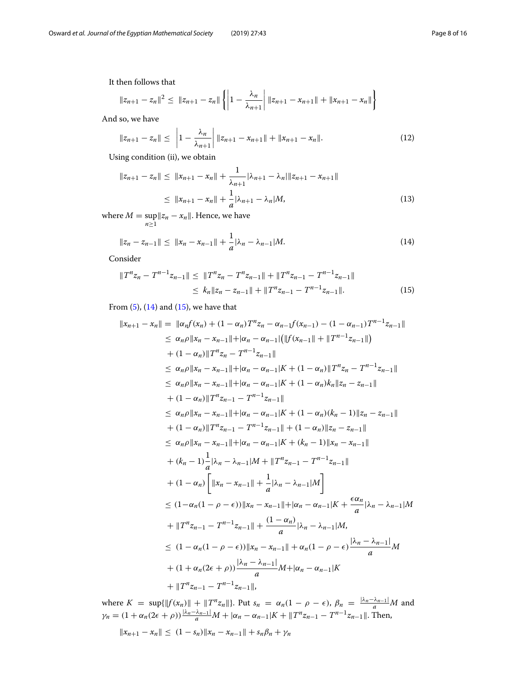It then follows that

$$
||z_{n+1} - z_n||^2 \leq ||z_{n+1} - z_n|| \left\{ \left| 1 - \frac{\lambda_n}{\lambda_{n+1}} \right| ||z_{n+1} - x_{n+1}|| + ||x_{n+1} - x_n|| \right\}
$$

And so, we have

$$
\|z_{n+1} - z_n\| \le \left|1 - \frac{\lambda_n}{\lambda_{n+1}}\right| \|z_{n+1} - x_{n+1}\| + \|x_{n+1} - x_n\|.
$$
 (12)

Using condition (ii), we obtain

<span id="page-7-2"></span>
$$
||z_{n+1} - z_n|| \le ||x_{n+1} - x_n|| + \frac{1}{\lambda_{n+1}} |\lambda_{n+1} - \lambda_n| ||z_{n+1} - x_{n+1}||
$$
  
\n
$$
\le ||x_{n+1} - x_n|| + \frac{1}{a} |\lambda_{n+1} - \lambda_n| M,
$$
\n(13)

where  $M = \sup_{n \ge 1} \|z_n - x_n\|$ . Hence, we have

<span id="page-7-0"></span>
$$
||z_n - z_{n-1}|| \le ||x_n - x_{n-1}|| + \frac{1}{a} |\lambda_n - \lambda_{n-1}| M.
$$
\n(14)

Consider

<span id="page-7-1"></span>
$$
||T^{n}z_{n} - T^{n-1}z_{n-1}|| \le ||T^{n}z_{n} - T^{n}z_{n-1}|| + ||T^{n}z_{n-1} - T^{n-1}z_{n-1}||
$$
  
\n
$$
\le k_{n}||z_{n} - z_{n-1}|| + ||T^{n}z_{n-1} - T^{n-1}z_{n-1}||. \tag{15}
$$

From  $(5)$ ,  $(14)$  and  $(15)$ , we have that

$$
||x_{n+1} - x_n|| = ||\alpha_n f(x_n) + (1 - \alpha_n) T^n z_n - \alpha_{n-1} f(x_{n-1}) - (1 - \alpha_{n-1}) T^{n-1} z_{n-1}||
$$
  
\n
$$
\leq \alpha_n \rho ||x_n - x_{n-1}|| + |\alpha_n - \alpha_{n-1}| (||f(x_{n-1}|| + ||T^{n-1} z_{n-1}||))
$$
  
\n
$$
+ (1 - \alpha_n) ||T^n z_n - T^{n-1} z_{n-1}||
$$
  
\n
$$
\leq \alpha_n \rho ||x_n - x_{n-1}|| + |\alpha_n - \alpha_{n-1}|K + (1 - \alpha_n) ||T^n z_n - T^{n-1} z_{n-1}||
$$
  
\n
$$
\leq \alpha_n \rho ||x_n - x_{n-1}|| + |\alpha_n - \alpha_{n-1}|K + (1 - \alpha_n)k_n||z_n - z_{n-1}||
$$
  
\n
$$
+ (1 - \alpha_n) ||T^n z_{n-1} - T^{n-1} z_{n-1}||
$$
  
\n
$$
\leq \alpha_n \rho ||x_n - x_{n-1}|| + |\alpha_n - \alpha_{n-1}|K + (1 - \alpha_n)(k_n - 1) ||z_n - z_{n-1}||
$$
  
\n
$$
+ (1 - \alpha_n) ||T^n z_{n-1} - T^{n-1} z_{n-1}|| + (1 - \alpha_n) ||z_n - z_{n-1}||
$$
  
\n
$$
\leq \alpha_n \rho ||x_n - x_{n-1}|| + |\alpha_n - \alpha_{n-1}|K + (k_n - 1) ||x_n - x_{n-1}||
$$
  
\n
$$
+ (k_n - 1) \frac{1}{a} |\lambda_n - \lambda_{n-1}|M + ||T^n z_{n-1} - T^{n-1} z_{n-1}||
$$
  
\n
$$
+ (1 - \alpha_n) \left[ ||x_n - x_{n-1}|| + \frac{1}{a} |\lambda_n - \lambda_{n-1}|M \right]
$$
  
\n
$$
\leq (1 - \alpha_n (1 - \rho - \epsilon)) ||x_n - x_{n-1}|| + |\alpha_n - \alpha_{n-1}|K + \frac{\epsilon \alpha_n}{a} |\lambda_n - \lambda_{n-1}|M
$$
  
\n
$$
+ ||T^n z
$$

where  $K = \sup\{\|f(x_n)\| + \|T^n z_n\|\}$ . Put  $s_n = \alpha_n(1 - \rho - \epsilon)$ ,  $\beta_n = \frac{|\lambda_n - \lambda_{n-1}|}{a}M$  and  $\gamma_n = (1 + \alpha_n(2\epsilon + \rho))\frac{|\lambda_n - \lambda_{n-1}|}{a}M + |\alpha_n - \alpha_{n-1}|K + ||T^n z_{n-1} - T^{n-1} z_{n-1}||$ . Then,

$$
||x_{n+1} - x_n|| \le (1 - s_n) ||x_n - x_{n-1}|| + s_n \beta_n + \gamma_n
$$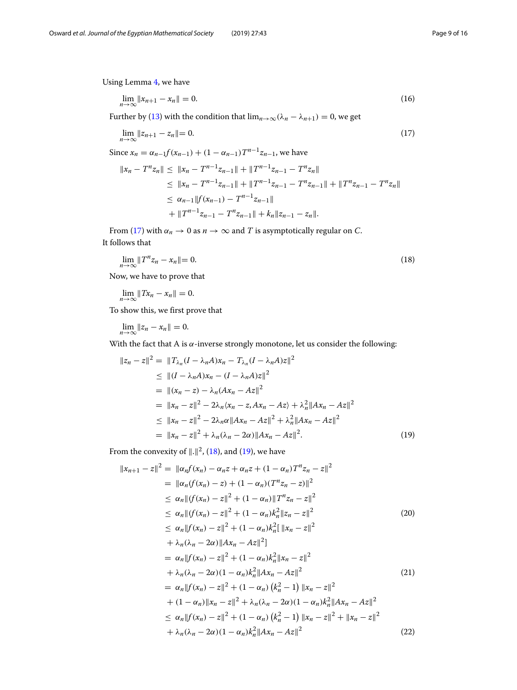Using Lemma [4,](#page-3-1) we have

<span id="page-8-3"></span>
$$
\lim_{n \to \infty} \|x_{n+1} - x_n\| = 0. \tag{16}
$$

Further by [\(13\)](#page-7-2) with the condition that  $\lim_{n\to\infty} (\lambda_n - \lambda_{n+1}) = 0$ , we get

<span id="page-8-0"></span>
$$
\lim_{n \to \infty} \|z_{n+1} - z_n\| = 0. \tag{17}
$$

Since  $x_n = \alpha_{n-1} f(x_{n-1}) + (1 - \alpha_{n-1}) T^{n-1} z_{n-1}$ , we have

$$
||x_n - T^n z_n|| \le ||x_n - T^{n-1} z_{n-1}|| + ||T^{n-1} z_{n-1} - T^n z_n||
$$
  
\n
$$
\le ||x_n - T^{n-1} z_{n-1}|| + ||T^{n-1} z_{n-1} - T^n z_{n-1}|| + ||T^n z_{n-1} - T^n z_n||
$$
  
\n
$$
\le \alpha_{n-1} ||f(x_{n-1}) - T^{n-1} z_{n-1}||
$$
  
\n
$$
+ ||T^{n-1} z_{n-1} - T^n z_{n-1}|| + k_n ||z_{n-1} - z_n||.
$$

From [\(17\)](#page-8-0) with  $\alpha_n \to 0$  as  $n \to \infty$  and *T* is asymptotically regular on *C*. It follows that

<span id="page-8-1"></span>
$$
\lim_{n \to \infty} \|T^n z_n - x_n\| = 0. \tag{18}
$$

Now, we have to prove that

$$
\lim_{n\to\infty}||Tx_n-x_n||=0.
$$

To show this, we first prove that

$$
\lim_{n\to\infty}||z_n-x_n||=0.
$$

With the fact that A is  $\alpha$ -inverse strongly monotone, let us consider the following:

$$
||z_n - z||^2 = ||T_{\lambda_n}(I - \lambda_n A)x_n - T_{\lambda_n}(I - \lambda_n A)z||^2
$$
  
\n
$$
\leq ||(I - \lambda_n A)x_n - (I - \lambda_n A)z||^2
$$
  
\n
$$
= ||(x_n - z) - \lambda_n (Ax_n - Az||^2)
$$
  
\n
$$
= ||x_n - z||^2 - 2\lambda_n \langle x_n - z, Ax_n - Az \rangle + \lambda_n^2 ||Ax_n - Az||^2
$$
  
\n
$$
\leq ||x_n - z||^2 - 2\lambda_n \alpha ||Ax_n - Az||^2 + \lambda_n^2 ||Ax_n - Az||^2
$$
  
\n
$$
= ||x_n - z||^2 + \lambda_n (\lambda_n - 2\alpha) ||Ax_n - Az||^2.
$$
 (19)

From the convexity of  $\Vert . \Vert^2$ , [\(18\)](#page-8-1), and [\(19\)](#page-8-2), we have

<span id="page-8-4"></span><span id="page-8-2"></span>
$$
||x_{n+1} - z||^2 = ||\alpha_n f(x_n) - \alpha_n z + \alpha_n z + (1 - \alpha_n) T^n z_n - z||^2
$$
  
\n
$$
= ||\alpha_n f(x_n) - z| + (1 - \alpha_n) (T^n z_n - z)||^2
$$
  
\n
$$
\leq \alpha_n ||(f(x_n) - z||^2 + (1 - \alpha_n) ||T^n z_n - z||^2
$$
  
\n
$$
\leq \alpha_n ||(f(x_n) - z||^2 + (1 - \alpha_n) k_n^2 ||z_n - z||^2
$$
(20)  
\n
$$
\leq \alpha_n ||f(x_n) - z||^2 + (1 - \alpha_n) k_n^2 ||x_n - z||^2
$$
  
\n
$$
+ \lambda_n (\lambda_n - 2\alpha) ||Ax_n - Az||^2
$$
  
\n
$$
= \alpha_n ||f(x_n) - z||^2 + (1 - \alpha_n) k_n^2 ||x_n - z||^2
$$
  
\n
$$
+ \lambda_n (\lambda_n - 2\alpha) (1 - \alpha_n) k_n^2 ||Ax_n - Az||^2
$$
(21)  
\n
$$
= \alpha_n ||f(x_n) - z||^2 + (1 - \alpha_n) (k_n^2 - 1) ||x_n - z||^2
$$
  
\n
$$
+ (1 - \alpha_n) ||x_n - z||^2 + \lambda_n (\lambda_n - 2\alpha) (1 - \alpha_n) k_n^2 ||Ax_n - Az||^2
$$
  
\n
$$
\leq \alpha_n ||f(x_n) - z||^2 + (1 - \alpha_n) (k_n^2 - 1) ||x_n - z||^2 + ||x_n - z||^2
$$
  
\n
$$
+ \lambda_n (\lambda_n - 2\alpha) (1 - \alpha_n) k_n^2 ||Ax_n - Az||^2
$$
(22)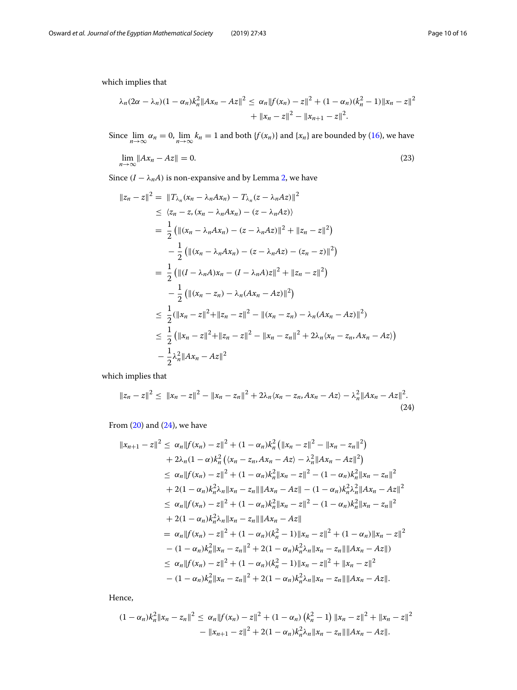which implies that

$$
\lambda_n (2\alpha - \lambda_n)(1 - \alpha_n)k_n^2 \|Ax_n - Az\|^2 \leq \alpha_n \|f(x_n) - z\|^2 + (1 - \alpha_n)(k_n^2 - 1)\|x_n - z\|^2
$$
  
+ 
$$
\|x_n - z\|^2 - \|x_{n+1} - z\|^2.
$$

Since  $\lim_{n\to\infty} \alpha_n = 0$ ,  $\lim_{n\to\infty} k_n = 1$  and both  $\{f(x_n)\}$  and  $\{x_n\}$  are bounded by [\(16\)](#page-8-3), we have

$$
\lim_{n \to \infty} \|Ax_n - Az\| = 0. \tag{23}
$$

Since  $(I - \lambda_n A)$  is non-expansive and by Lemma [2,](#page-2-1) we have

$$
||z_n - z||^2 = ||T_{\lambda_n}(x_n - \lambda_n A x_n) - T_{\lambda_n}(z - \lambda_n A z)||^2
$$
  
\n
$$
\leq \langle z_n - z, (x_n - \lambda_n A x_n) - (z - \lambda_n A z) \rangle
$$
  
\n
$$
= \frac{1}{2} (||(x_n - \lambda_n A x_n) - (z - \lambda_n A z)||^2 + ||z_n - z||^2)
$$
  
\n
$$
- \frac{1}{2} (||(x_n - \lambda_n A x_n) - (z - \lambda_n A z) - (z_n - z)||^2)
$$
  
\n
$$
= \frac{1}{2} (||(I - \lambda_n A) x_n - (I - \lambda_n A) z||^2 + ||z_n - z||^2)
$$
  
\n
$$
- \frac{1}{2} (||(x_n - z_n) - \lambda_n (Ax_n - Az)||^2)
$$
  
\n
$$
\leq \frac{1}{2} (||x_n - z||^2 + ||z_n - z||^2 - ||(x_n - z_n) - \lambda_n (Ax_n - Az)||^2)
$$
  
\n
$$
\leq \frac{1}{2} (||x_n - z||^2 + ||z_n - z||^2 - ||x_n - z_n||^2 + 2\lambda_n \langle x_n - z_n, Ax_n - Az \rangle)
$$
  
\n
$$
- \frac{1}{2} \lambda_n^2 ||Ax_n - Az||^2
$$

which implies that

<span id="page-9-0"></span>
$$
||z_n - z||^2 \le ||x_n - z||^2 - ||x_n - z_n||^2 + 2\lambda_n \langle x_n - z_n, Ax_n - Az \rangle - \lambda_n^2 ||Ax_n - Az||^2.
$$
\n(24)

From  $(20)$  and  $(24)$ , we have

$$
||x_{n+1} - z||^2 \leq \alpha_n ||f(x_n) - z||^2 + (1 - \alpha_n)k_n^2 (||x_n - z||^2 - ||x_n - z_n||^2)
$$
  
+  $2\lambda_n (1 - \alpha)k_n^2 ((x_n - z_n, Ax_n - Az) - \lambda_n^2 ||Ax_n - Az||^2)$   
 $\leq \alpha_n ||f(x_n) - z||^2 + (1 - \alpha_n)k_n^2 ||x_n - z||^2 - (1 - \alpha_n)k_n^2 ||x_n - z_n||^2$   
+  $2(1 - \alpha_n)k_n^2 \lambda_n ||x_n - z_n|| ||Ax_n - Az|| - (1 - \alpha_n)k_n^2 \lambda_n^2 ||Ax_n - Az||^2$   
 $\leq \alpha_n ||f(x_n) - z||^2 + (1 - \alpha_n)k_n^2 ||x_n - z||^2 - (1 - \alpha_n)k_n^2 ||x_n - z_n||^2$   
+  $2(1 - \alpha_n)k_n^2 \lambda_n ||x_n - z_n|| ||Ax_n - Az||$   
=  $\alpha_n ||f(x_n) - z||^2 + (1 - \alpha_n)(k_n^2 - 1) ||x_n - z||^2 + (1 - \alpha_n) ||x_n - z||^2$   
-  $(1 - \alpha_n)k_n^2 ||x_n - z_n||^2 + 2(1 - \alpha_n)k_n^2 \lambda_n ||x_n - z_n|| ||Ax_n - Az||)$   
 $\leq \alpha_n ||f(x_n) - z||^2 + (1 - \alpha_n)(k_n^2 - 1) ||x_n - z||^2 + ||x_n - z||^2$   
-  $(1 - \alpha_n)k_n^2 ||x_n - z_n||^2 + 2(1 - \alpha_n)k_n^2 \lambda_n ||x_n - z_n|| ||Ax_n - Az||.$ 

Hence,

$$
(1 - \alpha_n)k_n^2 \|x_n - z_n\|^2 \leq \alpha_n \|f(x_n) - z\|^2 + (1 - \alpha_n) (k_n^2 - 1) \|x_n - z\|^2 + \|x_n - z\|^2
$$

$$
- \|x_{n+1} - z\|^2 + 2(1 - \alpha_n)k_n^2 \lambda_n \|x_n - z_n\| \|Ax_n - Az\|.
$$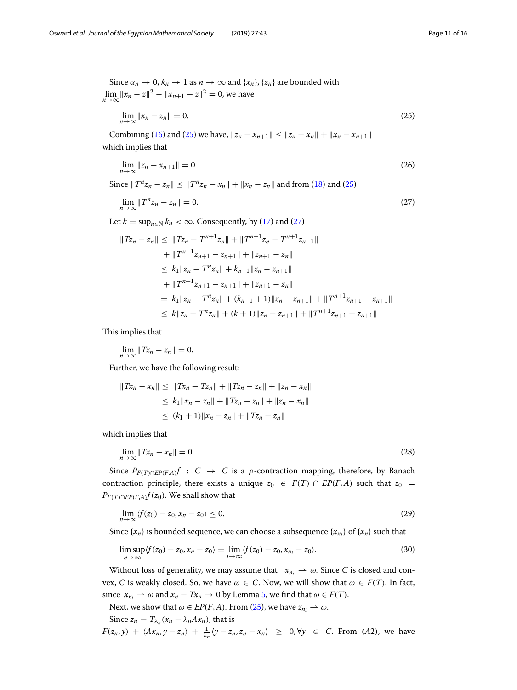Since  $\alpha_n \to 0$ ,  $k_n \to 1$  as  $n \to \infty$  and  $\{x_n\}$ ,  $\{z_n\}$  are bounded with  $\lim_{n \to \infty} ||x_n - z||^2 - ||x_{n+1} - z||^2 = 0$ , we have

<span id="page-10-0"></span>
$$
\lim_{n \to \infty} \|x_n - z_n\| = 0. \tag{25}
$$

Combining [\(16\)](#page-8-3) and [\(25\)](#page-10-0) we have,  $||z_n - x_{n+1}|| \le ||z_n - x_n|| + ||x_n - x_{n+1}||$ which implies that

$$
\lim_{n \to \infty} \|z_n - x_{n+1}\| = 0. \tag{26}
$$

Since  $||T^n z_n - z_n|| \le ||T^n z_n - x_n|| + ||x_n - z_n||$  and from [\(18\)](#page-8-1) and [\(25\)](#page-10-0)

<span id="page-10-1"></span>
$$
\lim_{n\to\infty}||T^nz_n-z_n||=0.\tag{27}
$$

Let  $k = \sup_{n \in \mathbb{N}} k_n < \infty$ . Consequently, by [\(17\)](#page-8-0) and [\(27\)](#page-10-1)

$$
||Tz_{n} - z_{n}|| \le ||Tz_{n} - T^{n+1}z_{n}|| + ||T^{n+1}z_{n} - T^{n+1}z_{n+1}||
$$
  
+  $||T^{n+1}z_{n+1} - z_{n+1}|| + ||z_{n+1} - z_{n}||$   
 $\le K_1 ||z_{n} - T^{n}z_{n}|| + K_{n+1} ||z_{n} - z_{n+1}||$   
+  $||T^{n+1}z_{n+1} - z_{n+1}|| + ||z_{n+1} - z_{n}||$   
=  $k_1 ||z_{n} - T^{n}z_{n}|| + (k_{n+1} + 1) ||z_{n} - z_{n+1}|| + ||T^{n+1}z_{n+1} - z_{n+1}||$   
 $\le K ||z_{n} - T^{n}z_{n}|| + (k + 1) ||z_{n} - z_{n+1}|| + ||T^{n+1}z_{n+1} - z_{n+1}||$ 

This implies that

$$
\lim_{n\to\infty}||Tz_n-z_n||=0.
$$

Further, we have the following result:

$$
||Tx_n - x_n|| \le ||Tx_n - Tx_n|| + ||Tx_n - z_n|| + ||z_n - x_n||
$$
  
\n
$$
\le k_1 ||x_n - z_n|| + ||Tx_n - z_n|| + ||z_n - x_n||
$$
  
\n
$$
\le (k_1 + 1) ||x_n - z_n|| + ||Tx_n - z_n||
$$

which implies that

$$
\lim_{n \to \infty} \|Tx_n - x_n\| = 0. \tag{28}
$$

Since  $P_{F(T) ∩ E P(F,A)} f : C → C$  is a  $\rho$ -contraction mapping, therefore, by Banach contraction principle, there exists a unique  $z_0 \in F(T) \cap EP(F,A)$  such that  $z_0 =$ *P<sub>F(T)∩EP*(*F*,*A*) $f$ (*z*<sub>0</sub>). We shall show that</sub>

$$
\lim_{n \to \infty} \langle f(z_0) - z_0, x_n - z_0 \rangle \le 0. \tag{29}
$$

Since  $\{x_n\}$  is bounded sequence, we can choose a subsequence  $\{x_{n_i}\}$  of  $\{x_n\}$  such that

<span id="page-10-2"></span>
$$
\limsup_{n\to\infty}\langle f(z_0)-z_0,x_n-z_0\rangle=\lim_{i\to\infty}\langle f(z_0)-z_0,x_{n_i}-z_0\rangle.
$$
\n(30)

Without loss of generality, we may assume that  $x_{n_i} \rightharpoonup \omega$ . Since *C* is closed and convex, *C* is weakly closed. So, we have  $\omega \in C$ . Now, we will show that  $\omega \in F(T)$ . In fact, since  $x_{n_i} \rightharpoonup \omega$  and  $x_n - Tx_n \rightarrow 0$  by Lemma [5,](#page-3-2) we find that  $\omega \in F(T)$ .

Next, we show that  $\omega \in EP(F, A)$ . From [\(25\)](#page-10-0), we have  $z_{n_i} \rightharpoonup \omega$ .

Since  $z_n = T_{\lambda_n}(x_n - \lambda_n A x_n)$ , that is

 $F(z_n, y) + \langle Ax_n, y - z_n \rangle + \frac{1}{\lambda_n} \langle y - z_n, z_n - x_n \rangle \geq 0, \forall y \in C$ . From (*A*2), we have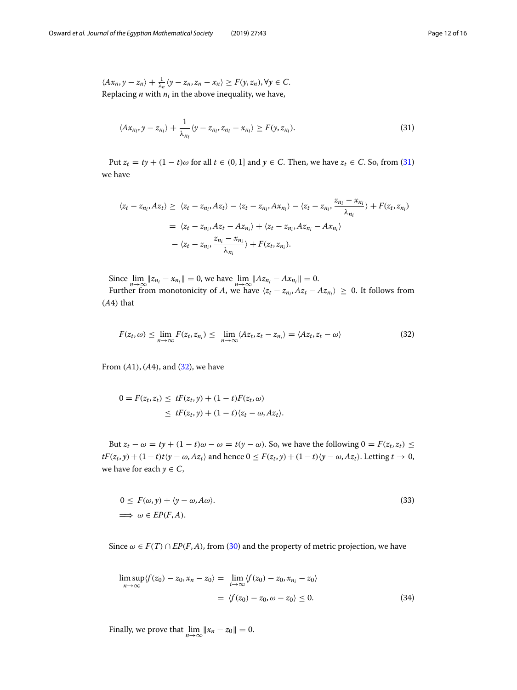$\langle Ax_n, y - z_n \rangle + \frac{1}{\lambda_n} \langle y - z_n, z_n - x_n \rangle \ge F(y, z_n), \forall y \in C.$ Replacing  $n$  with  $n_i$  in the above inequality, we have,

<span id="page-11-0"></span>
$$
\langle Ax_{n_i}, y - z_{n_i} \rangle + \frac{1}{\lambda_{n_i}} \langle y - z_{n_i}, z_{n_i} - x_{n_i} \rangle \ge F(y, z_{n_i}). \tag{31}
$$

Put  $z_t = ty + (1 - t)\omega$  for all  $t \in (0, 1]$  and  $y \in C$ . Then, we have  $z_t \in C$ . So, from [\(31\)](#page-11-0) we have

$$
\langle z_t - z_{n_i}, Az_t \rangle \geq \langle z_t - z_{n_i}, Az_t \rangle - \langle z_t - z_{n_i}, Ax_{n_i} \rangle - \langle z_t - z_{n_i}, \frac{z_{n_i} - x_{n_i}}{\lambda_{n_i}} \rangle + F(z_t, z_{n_i})
$$

$$
= \langle z_t - z_{n_i}, Az_t - Az_{n_i} \rangle + \langle z_t - z_{n_i}, Az_{n_i} - Ax_{n_i} \rangle
$$

$$
- \langle z_t - z_{n_i}, \frac{z_{n_i} - x_{n_i}}{\lambda_{n_i}} \rangle + F(z_t, z_{n_i}).
$$

Since  $\lim_{n \to \infty} ||z_{n_i} - x_{n_i}|| = 0$ , we have  $\lim_{n \to \infty} ||Az_{n_i} - Ax_{n_i}|| = 0$ .

Further from monotonicity of *A*, we have  $\langle z_t - z_{n_i}, Az_t - Az_{n_i} \rangle \geq 0$ . It follows from (*A*4) that

<span id="page-11-1"></span>
$$
F(z_t, \omega) \le \lim_{n \to \infty} F(z_t, z_{n_i}) \le \lim_{n \to \infty} \langle Az_t, z_t - z_{n_i} \rangle = \langle Az_t, z_t - \omega \rangle \tag{32}
$$

From  $(A1)$ ,  $(A4)$ , and  $(32)$ , we have

$$
0 = F(z_t, z_t) \le tF(z_t, y) + (1 - t)F(z_t, \omega)
$$
  
 
$$
\le tF(z_t, y) + (1 - t)\langle z_t - \omega, Az_t \rangle.
$$

But  $z_t - \omega = ty + (1 - t)\omega - \omega = t(y - \omega)$ . So, we have the following  $0 = F(z_t, z_t) \le$  $tF(z_t, y) + (1-t)t\langle y - \omega, Az_t \rangle$  and hence  $0 \le F(z_t, y) + (1-t)\langle y - \omega, Az_t \rangle$ . Letting  $t \to 0$ , we have for each  $y \in C$ ,

$$
0 \le F(\omega, y) + \langle y - \omega, A\omega \rangle.
$$
  
\n
$$
\implies \omega \in EP(F, A).
$$
\n(33)

Since  $\omega \in F(T) \cap EP(F, A)$ , from [\(30\)](#page-10-2) and the property of metric projection, we have

<span id="page-11-2"></span>
$$
\limsup_{n \to \infty} \langle f(z_0) - z_0, x_n - z_0 \rangle = \lim_{i \to \infty} \langle f(z_0) - z_0, x_{n_i} - z_0 \rangle
$$
  
=  $\langle f(z_0) - z_0, \omega - z_0 \rangle \le 0.$  (34)

Finally, we prove that  $\lim_{n\to\infty}$   $||x_n - z_0|| = 0$ .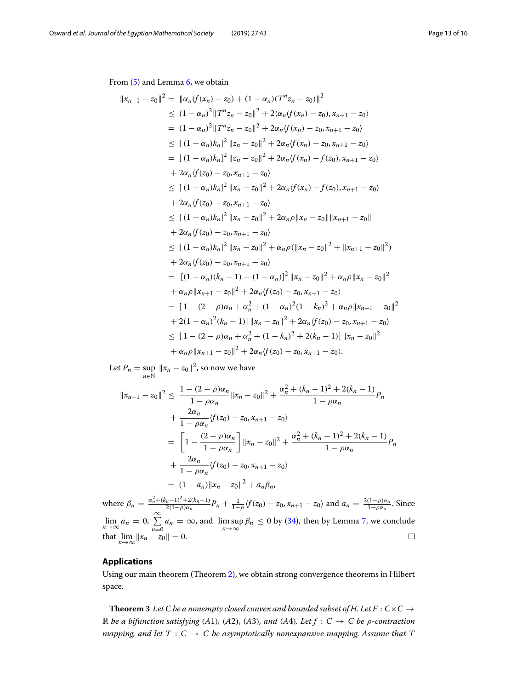From [\(5\)](#page-4-0) and Lemma [6,](#page-3-3) we obtain

$$
||x_{n+1} - z_0||^2 = ||\alpha_n(f(x_n) - z_0) + (1 - \alpha_n)(T^n z_n - z_0)||^2
$$
  
\n
$$
\leq (1 - \alpha_n)^2 ||T^n z_n - z_0||^2 + 2(\alpha_n(f(x_n) - z_0), x_{n+1} - z_0)
$$
  
\n
$$
= (1 - \alpha_n)^2 ||T^n z_n - z_0||^2 + 2\alpha_n(f(x_n) - z_0, x_{n+1} - z_0)
$$
  
\n
$$
\leq [(1 - \alpha_n)k_n]^2 ||z_n - z_0||^2 + 2\alpha_n(f(x_n) - z_0, x_{n+1} - z_0)
$$
  
\n
$$
= [(1 - \alpha_n)k_n]^2 ||z_n - z_0||^2 + 2\alpha_n(f(x_n) - f(z_0), x_{n+1} - z_0)
$$
  
\n
$$
+ 2\alpha_n(f(z_0) - z_0, x_{n+1} - z_0)
$$
  
\n
$$
\leq [(1 - \alpha_n)k_n]^2 ||x_n - z_0||^2 + 2\alpha_n(f(x_n) - f(z_0), x_{n+1} - z_0)
$$
  
\n
$$
+ 2\alpha_n(f(z_0) - z_0, x_{n+1} - z_0)
$$
  
\n
$$
\leq [(1 - \alpha_n)k_n]^2 ||x_n - z_0||^2 + 2\alpha_n\rho ||x_n - z_0|| ||x_{n+1} - z_0||
$$
  
\n
$$
+ 2\alpha_n(f(z_0) - z_0, x_{n+1} - z_0)
$$
  
\n
$$
\leq [(1 - \alpha_n)k_n]^2 ||x_n - z_0||^2 + \alpha_n\rho (||x_n - z_0||^2 + ||x_{n+1} - z_0||^2)
$$
  
\n
$$
+ 2\alpha_n(f(z_0) - z_0, x_{n+1} - z_0)
$$
  
\n
$$
= [(1 - \alpha_n)(k_n - 1) + (1 - \alpha_n)^2 ||x_n - z_0||^2 + \alpha_n\rho ||x_n - z_0||^2
$$
  
\n
$$
+ \alpha_n\rho ||x_{n+1} - z_0||^2 + 2\alpha_n(f(z_0) - z_0, x_{n+1} - z_0)
$$
  
\n
$$
=
$$

Let  $P_n = \sup_{n \in \mathbb{N}} ||x_n - z_0||^2$ , so now we have

$$
||x_{n+1} - z_0||^2 \le \frac{1 - (2 - \rho)\alpha_n}{1 - \rho\alpha_n} ||x_n - z_0||^2 + \frac{\alpha_n^2 + (k_n - 1)^2 + 2(k_n - 1)}{1 - \rho\alpha_n} P_n
$$
  
+ 
$$
\frac{2\alpha_n}{1 - \rho\alpha_n} \langle f(z_0) - z_0, x_{n+1} - z_0 \rangle
$$
  
= 
$$
\left[ 1 - \frac{(2 - \rho)\alpha_n}{1 - \rho\alpha_n} \right] ||x_n - z_0||^2 + \frac{\alpha_n^2 + (k_n - 1)^2 + 2(k_n - 1)}{1 - \rho\alpha_n} P_n
$$
  
+ 
$$
\frac{2\alpha_n}{1 - \rho\alpha_n} \langle f(z_0) - z_0, x_{n+1} - z_0 \rangle
$$
  
= 
$$
(1 - a_n) ||x_n - z_0||^2 + a_n \beta_n,
$$

where  $\beta_n = \frac{\alpha_n^2 + (k_n - 1)^2 + 2(k_n - 1)}{2(1 - \rho)\alpha_n} P_n + \frac{1}{1 - \rho} \langle f(z_0) - z_0, x_{n+1} - z_0 \rangle$  and  $a_n = \frac{2(1 - \rho)\alpha_n}{1 - \rho\alpha_n}$ . Since lim<sub>*n*→∞</sub> *a<sub>n</sub>* = 0,  $\sum_{n=0}^{\infty} a_n = \infty$ , and lim sup  $\beta_n \le 0$  by [\(34\)](#page-11-2), then by Lemma [7,](#page-3-4) we conclude that  $\lim_{n \to \infty} ||x_n - z_0|| = 0.$ 

### **Applications**

Using our main theorem (Theorem [2\)](#page-4-1), we obtain strong convergence theorems in Hilbert space.

**Theorem 3** Let C be a nonempty closed convex and bounded subset of H. Let  $F: C \times C \rightarrow$ R *be a bifunction satisfying* (A1), (A2), (A3), and (A4). Let  $f : C \rightarrow C$  be  $\rho$ -contraction *mapping, and let*  $T : C \to C$  *be asymptotically nonexpansive mapping. Assume that*  $T$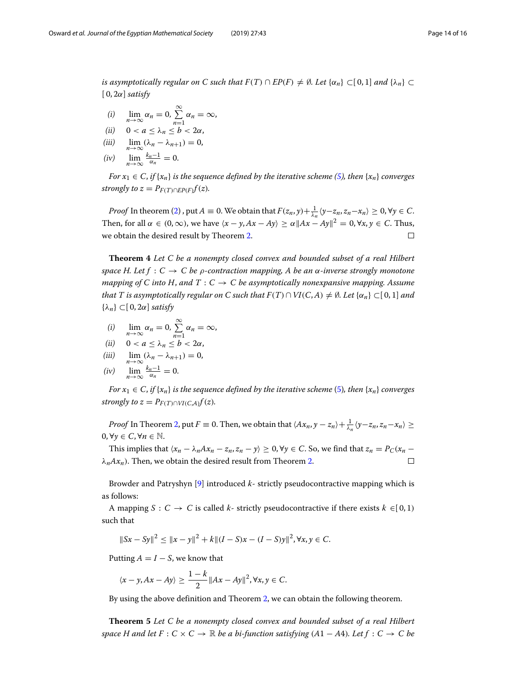*is asymptotically regular on C such that*  $F(T) \cap EP(F) \neq \emptyset$ *. Let*  $\{\alpha_n\} \subset [0,1]$  *and*  $\{\lambda_n\} \subset$  $[0, 2\alpha]$  *satisfy* 

- (i)  $\lim_{n\to\infty} \alpha_n = 0, \sum_{n=1}^{\infty}$  $\sum_{n=1}^{\infty} \alpha_n = \infty$
- (*ii*)  $0 < a \leq \lambda_n \leq b < 2\alpha$ ,
- (iii)  $\lim_{n\to\infty} (\lambda_n \lambda_{n+1}) = 0,$
- (iv)  $\lim_{n\to\infty}\frac{k_n-1}{\alpha_n}=0.$

*For*  $x_1 \in C$ , *if*  $\{x_n\}$  *is the sequence defined by the iterative scheme [\(5\)](#page-4-0), then*  $\{x_n\}$  *converges strongly to z* =  $P_{F(T) \cap E P(F)} f(z)$ *.* 

*Proof* In theorem [\(2\)](#page-4-1), put  $A \equiv 0$ . We obtain that  $F(z_n, y) + \frac{1}{\lambda_n} \langle y - z_n, z_n - x_n \rangle \ge 0$ ,  $\forall y \in C$ . Then, for all  $\alpha \in (0, \infty)$ , we have  $\langle x - y, Ax - Ay \rangle \ge \alpha ||Ax - Ay||^2 = 0$ ,  $\forall x, y \in C$ . Thus, we obtain the desired result by Theorem [2.](#page-4-1)  $\Box$ 

**Theorem 4** *Let C be a nonempty closed convex and bounded subset of a real Hilbert space H. Let f* :  $C \rightarrow C$  *be*  $\rho$ -contraction mapping, A be an  $\alpha$ -inverse strongly monotone *mapping of C into H, and T : C*  $\rightarrow$  *C be asymptotically nonexpansive mapping. Assume that T is asymptotically regular on C such that*  $F(T) \cap VI(C, A) \neq \emptyset$ *. Let*  $\{\alpha_n\} \subset [0, 1]$  *and* {λ*n*} ⊂[ 0, 2α] *satisfy*

- (i)  $\lim_{n\to\infty} \alpha_n = 0, \sum_{n=1}^{\infty}$  $\sum_{n=1}^{\infty} \alpha_n = \infty$
- (*ii*)  $0 < a \leq \lambda_n \leq b < 2\alpha$ ,
- (iii)  $\lim_{n\to\infty} (\lambda_n \lambda_{n+1}) = 0,$
- 

$$
(iv) \quad \lim_{n\to\infty}\frac{k_n-1}{\alpha_n}=0.
$$

*For*  $x_1 \in C$ , *if*  $\{x_n\}$  *is the sequence defined by the iterative scheme* [\(5\)](#page-4-0)*, then*  $\{x_n\}$  *converges strongly to z* =  $P_{F(T) \cap VI(C,A)} f(z)$ *.* 

*Proof* In Theorem [2,](#page-4-1) put  $F \equiv 0$ . Then, we obtain that  $\langle Ax_n, y - z_n \rangle + \frac{1}{\lambda_n} \langle y - z_n, z_n - x_n \rangle \ge$ 0,  $\forall \gamma$  ∈ *C*,  $\forall n \in \mathbb{N}$ .

This implies that  $\langle x_n - \lambda_n A x_n - z_n, z_n - y \rangle \ge 0$ ,  $\forall y \in C$ . So, we find that  $z_n = P_C(x_n - y)$  $\lambda_n A x_n$ ). Then, we obtain the desired result from Theorem [2.](#page-4-1)  $\Box$ 

Browder and Patryshyn [\[9\]](#page-15-0) introduced *k*- strictly pseudocontractive mapping which is as follows:

A mapping *S* : *C*  $\rightarrow$  *C* is called *k*- strictly pseudocontractive if there exists  $k \in [0,1)$ such that

$$
||Sx - Sy||2 \le ||x - y||2 + k||(I - S)x - (I - S)y||2, \forall x, y \in C.
$$

Putting  $A = I - S$ , we know that

$$
\langle x-y, Ax-Ay \rangle \geq \frac{1-k}{2} ||Ax-Ay||^2, \forall x, y \in C.
$$

By using the above definition and Theorem [2,](#page-4-1) we can obtain the following theorem.

**Theorem 5** *Let C be a nonempty closed convex and bounded subset of a real Hilbert space H and let*  $F: C \times C \rightarrow \mathbb{R}$  *be a bi-function satisfying*  $(A1 - A4)$ *. Let*  $f: C \rightarrow C$  *be*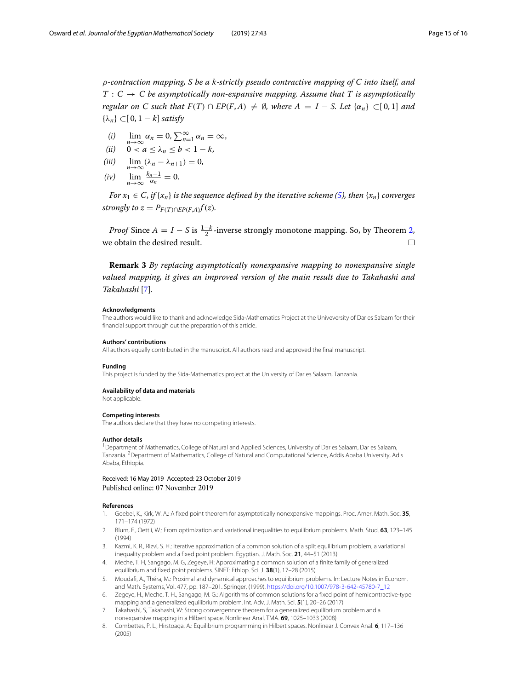ρ*-contraction mapping, S be a k-strictly pseudo contractive mapping of C into itself, and*  $T: C \to C$  be asymptotically non-expansive mapping. Assume that T is asymptotically *regular on C such that*  $F(T) \cap EP(F,A) \neq \emptyset$ *, where*  $A = I - S$ *. Let*  $\{\alpha_n\} \subset [0,1]$  *and* {λ*n*} ⊂[ 0, 1 − *k*] *satisfy*

- (i)  $\lim_{n\to\infty} \alpha_n = 0, \sum_{n=1}^{\infty} \alpha_n = \infty,$
- (ii)  $\begin{array}{c} n \to \infty \\ 0 < a \le \lambda_n \le b < 1 k, \end{array}$
- (iii)  $\lim_{n\to\infty} (\lambda_n \lambda_{n+1}) = 0,$
- (iv)  $\lim_{n\to\infty}\frac{k_n-1}{\alpha_n}=0.$

*For*  $x_1 \in C$ , *if*  $\{x_n\}$  *is the sequence defined by the iterative scheme [\(5\)](#page-4-0), then*  $\{x_n\}$  *converges strongly to z* =  $P_{F(T) \cap EP(F,A)} f(z)$ *.* 

*Proof* Since  $A = I - S$  is  $\frac{1-k}{2}$ -inverse strongly monotone mapping. So, by Theorem [2,](#page-4-1) we obtain the desired result.  $\Box$ 

**Remark 3** *By replacing asymptotically nonexpansive mapping to nonexpansive single valued mapping, it gives an improved version of the main result due to Takahashi and Takahashi* [\[7\]](#page-14-6)*.*

#### **Acknowledgments**

The authors would like to thank and acknowledge Sida-Mathematics Project at the Univeversity of Dar es Salaam for their financial support through out the preparation of this article.

#### **Authors' contributions**

All authors equally contributed in the manuscript. All authors read and approved the final manuscript.

#### **Funding**

This project is funded by the Sida-Mathematics project at the University of Dar es Salaam, Tanzania.

#### **Availability of data and materials**

Not applicable.

#### **Competing interests**

The authors declare that they have no competing interests.

#### **Author details**

<sup>1</sup> Department of Mathematics, College of Natural and Applied Sciences, University of Dar es Salaam, Dar es Salaam, Tanzania. 2Department of Mathematics, College of Natural and Computational Science, Addis Ababa University, Adis Ababa, Ethiopia.

Received: 16 May 2019 Accepted: 23 October 2019 Published online: 07 November 2019

#### **References**

- <span id="page-14-0"></span>1. Goebel, K., Kirk, W. A.: A fixed point theorem for asymptotically nonexpansive mappings. Proc. Amer. Math. Soc. **35**, 171–174 (1972)
- <span id="page-14-1"></span>2. Blum, E., Oettli, W.: From optimization and variational inequalities to equilibrium problems. Math. Stud. **63**, 123–145 (1994)
- <span id="page-14-2"></span>3. Kazmi, K. R., Rizvi, S. H.: Iterative approximation of a common solution of a split equilibrium problem, a variational inequality problem and a fixed point problem. Egyptian. J. Math. Soc. **21**, 44–51 (2013)
- <span id="page-14-3"></span>4. Meche, T. H, Sangago, M. G, Zegeye, H: Approximating a common solution of a finite family of generalized equilibrium and fixed point problems. SINET: Ethiop. Sci. J. **38**(1), 17–28 (2015)
- <span id="page-14-4"></span>5. Moudafi, A., Théra, M.: Proximal and dynamical approaches to equilibrium problems. In: Lecture Notes in Econom. and Math. Systems, Vol. 477, pp. 187–201. Springer, (1999). [https://doi.org/10.1007/978-3-642-45780-7\\_12](https://doi.org/10.1007/978-3-642-45780-7_12)
- <span id="page-14-5"></span>6. Zegeye, H., Meche, T. H., Sangago, M. G.: Algorithms of common solutions for a fixed point of hemicontractive-type mapping and a generalized equilibrium problem. Int. Adv. J. Math. Sci. **5**(1), 20–26 (2017)
- <span id="page-14-6"></span>7. Takahashi, S, Takahashi, W: Strong convergennce theorem for a generalized equilibrium problem and a nonexpansive mapping in a Hilbert space. Nonlinear Anal. TMA. **69**, 1025–1033 (2008)
- <span id="page-14-7"></span>8. Combettes, P. L., Hirstoaga, A.: Equilibrium programming in Hilbert spaces. Nonlinear J. Convex Anal. **6**, 117–136 (2005)